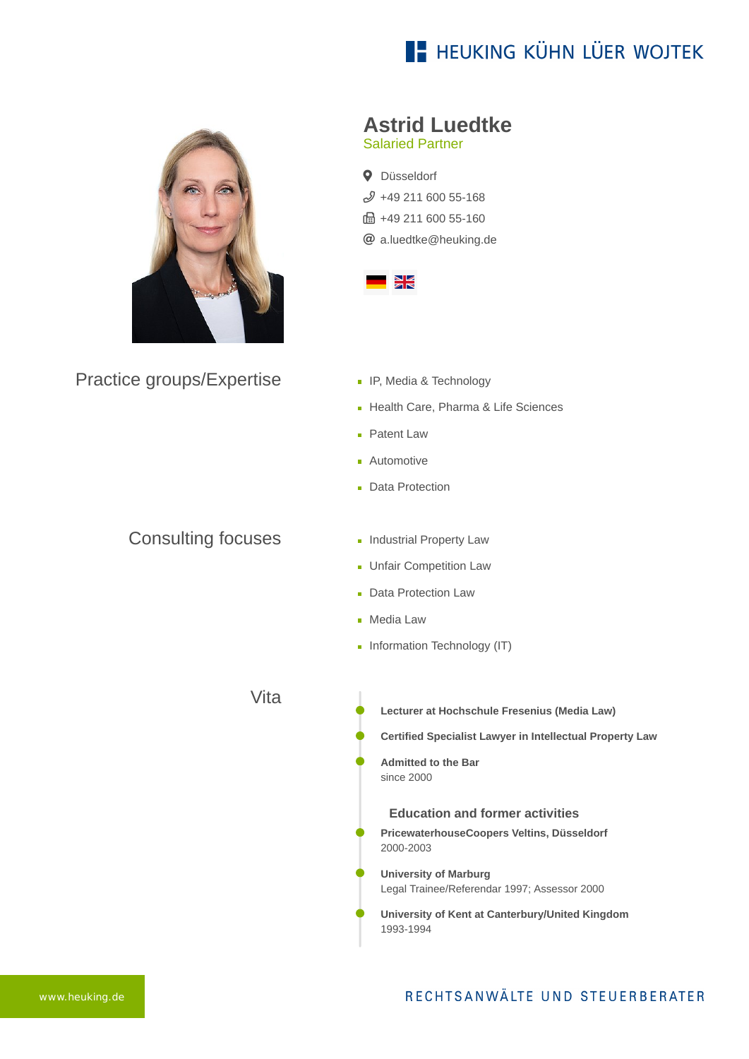# **E- HEUKING KÜHN LÜER WOJTEK**



Practice groups/Expertise

### Consulting focuses

### **Astrid Luedtke**

Salaried Partner

**Q** Düsseldorf  $$49$  211 600 55-168 ft: +49 211 600 55-160 [a.luedtke@heuking.de](mailto:a.luedtke@heuking.de?subject=Contact%20via%20website%20heuking.de)



- **IF, Media & Technology**
- Health Care, Pharma & Life Sciences
- **Patent Law**
- **Automotive**
- **Data Protection**
- **Industrial Property Law**
- **Unfair Competition Law**
- **Data Protection Law**
- **Media Law**
- Information Technology (IT)

Vita

- **Lecturer at Hochschule Fresenius (Media Law)**
- **Certified Specialist Lawyer in Intellectual Property Law**
- **Admitted to the Bar** since 2000

#### **Education and former activities**

- **PricewaterhouseCoopers Veltins, Düsseldorf** 2000-2003
- **University of Marburg** Legal Trainee/Referendar 1997; Assessor 2000
- **University of Kent at Canterbury/United Kingdom** 1993-1994

### RECHTSANWÄLTE UND STEUERBERATER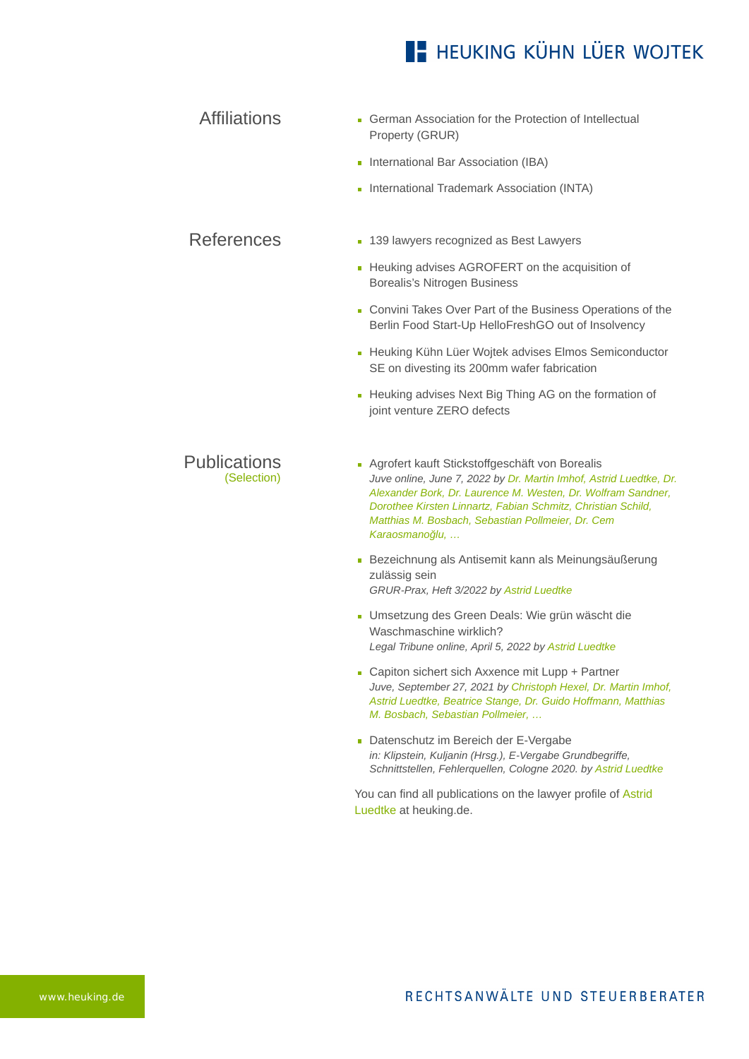### **E- HEUKING KÜHN LÜER WOJTEK**

Affiliations German Association for the Protection of Intellectual Property (GRUR)

- **International Bar Association (IBA)**
- **International Trademark Association (INTA)**

References **[139 lawyers recognized as Best Lawyers](https://www.heuking.de/en/lawyers/detail/pdf-download.html?lawyer=142&cHash=d121d3bff864f671b61b1ff868ec709c)** 

- **[Heuking advises AGROFERT on the acquisition of](https://www.heuking.de/en/lawyers/detail/pdf-download.html?lawyer=142&cHash=d121d3bff864f671b61b1ff868ec709c)** Borealis's Nitrogen Business
- [Convini Takes Over Part of the Business Operations of the](https://www.heuking.de/en/lawyers/detail/pdf-download.html?lawyer=142&cHash=d121d3bff864f671b61b1ff868ec709c) Berlin Food Start-Up HelloFreshGO out of Insolvency
- **[Heuking Kühn Lüer Wojtek advises Elmos Semiconductor](https://www.heuking.de/en/lawyers/detail/pdf-download.html?lawyer=142&cHash=d121d3bff864f671b61b1ff868ec709c)** SE on divesting its 200mm wafer fabrication
- **[Heuking advises Next Big Thing AG on the formation of](https://www.heuking.de/en/lawyers/detail/pdf-download.html?lawyer=142&cHash=d121d3bff864f671b61b1ff868ec709c)** joint venture ZERO defects

Publications (Selection)

- Agrofert kauft Stickstoffgeschäft von Borealis *Juve online, June 7, 2022 by Dr. Martin Imhof, Astrid Luedtke, Dr. Alexander Bork, Dr. Laurence M. Westen, Dr. Wolfram Sandner, Dorothee Kirsten Linnartz, Fabian Schmitz, Christian Schild, Matthias M. Bosbach, Sebastian Pollmeier, Dr. Cem Karaosmanoğlu, …*
- Bezeichnung als Antisemit kann als Meinungsäußerung zulässig sein *GRUR-Prax, Heft 3/2022 by Astrid Luedtke*
- Umsetzung des Green Deals: Wie grün wäscht die Waschmaschine wirklich? *Legal Tribune online, April 5, 2022 by Astrid Luedtke*
- Capiton sichert sich Axxence mit Lupp + Partner *Juve, September 27, 2021 by Christoph Hexel, Dr. Martin Imhof, Astrid Luedtke, Beatrice Stange, Dr. Guido Hoffmann, Matthias M. Bosbach, Sebastian Pollmeier, …*
- Datenschutz im Bereich der E-Vergabe *in: Klipstein, Kuljanin (Hrsg.), E-Vergabe Grundbegriffe, Schnittstellen, Fehlerquellen, Cologne 2020. by Astrid Luedtke*

[You can find all publications on the lawyer profile of Astrid](https://www.heuking.de/en/lawyers/detail/astrid-luedtke.html) Luedtke at heuking.de.